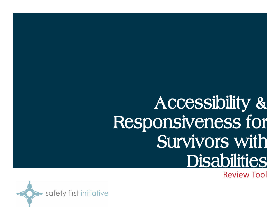## **Accessibility & Responsiveness for Survivors with Disabilities**

Review Tool

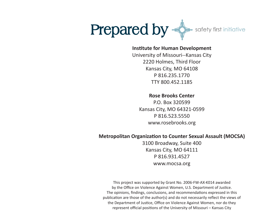

### **Institute for Human Development**

University of Missouri--Kansas City 2220 Holmes, Third Floor Kansas City, MO 64108 P 816.235.1770 TTY 800.452.1185

### **Rose Brooks Center**

P.O. Box 320599 Kansas City, MO 64321-0599 P 816.523.5550 www.rosebrooks.org

### **Metropolitan Organization to Counter Sexual Assault (MOCSA)**

3100 Broadway, Suite 400 Kansas City, MO 64111 P 816.931.4527 www.mocsa.org

This project was supported by Grant No. 2006-FW-AX-K014 awarded by the Office on Violence Against Women, U.S. Department of Justice. The opinions, findings, conclusions, and recommendations expressed in this publication are those of the author(s) and do not necessarily reflect the views of the Department of Justice, Office on Violence Against Women, nor do they represent official positions of the University of Missouri – Kansas City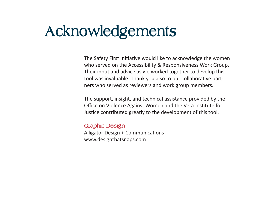## **Acknowledgements**

The Safety First Initiative would like to acknowledge the women who served on the Accessibility & Responsiveness Work Group. Their input and advice as we worked together to develop this tool was invaluable. Thank you also to our collaborative partners who served as reviewers and work group members.

The support, insight, and technical assistance provided by the Office on Violence Against Women and the Vera Institute for Justice contributed greatly to the development of this tool.

### **Graphic Design**

Alligator Design + Communications www.designthatsnaps.com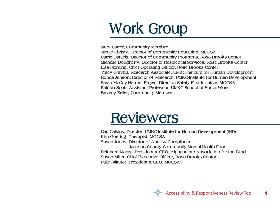# **Work Group**

**Nicole Christy, Director of Community Education, MOCSA Carrie Daniels, Director of Community Programs, Rose Brooks Center Michelle Dougherty, Director of Residential Services, Rose Brooks Center Lisa Fleming, Chief Operating Officer, Rose Brooks Center Tracy Graybill, Research Associate, UMKC-Institute for Human Development Ronda Jenson, Director of Research, UMKC-Institute for Human Development Sarah McCoy-Harms, Project Director: Safety First Initiative, MOCSA Patricia Scott, Assistant Professor, UMKC School of Social Work Beverly Zeller, Community Member**

### **Reviewers**

**Carl Calkins, Director, UMKC-Institute for Human Development (IHD) Kim Goering, Therapist, MOCSA Susan Jones, Director of Audit & Compliance, Jackson County Community Mental Health Fund Reinhard Mabry, President & CEO, Alphapointe Association for the Blind Susan Miller, Chief Executive Officer, Rose Brooks Center Palle Rilinger, President & CEO, MOCSA**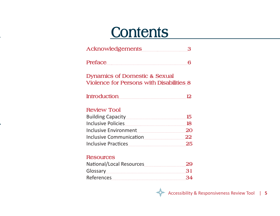### **Contents**

| Acknowledgements 3                                                                          |         |
|---------------------------------------------------------------------------------------------|---------|
| Preface                                                                                     | 6       |
| <b>Dynamics of Domestic &amp; Sexual</b><br><b>Violence for Persons with Disabilities 8</b> |         |
| Introduction                                                                                | $12 \,$ |
| <b>Review Tool</b>                                                                          |         |
|                                                                                             |         |
|                                                                                             |         |
|                                                                                             |         |
|                                                                                             |         |
|                                                                                             |         |
| <b>Resources</b>                                                                            |         |
|                                                                                             | 29      |
|                                                                                             | 31      |
|                                                                                             | 34      |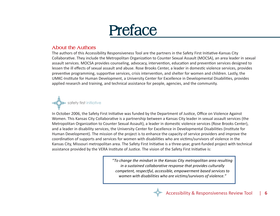

### **About the Authors**

The authors of this Accessibility Responsiveness Tool are the partners in the Safety First Initiative-Kansas City Collaborative. They include the Metropolitan Organization to Counter Sexual Assault (MOCSA), an area leader in sexual assault services. MOCSA provides counseling, advocacy, intervention, education and prevention services designed to lessen the ill effects of sexual assault and abuse. Rose Brooks Center, a leader in domestic violence services, provides preventive programming, supportive services, crisis intervention, and shelter for women and children. Lastly, the UMKC-Institute for Human Development, a University Center for Excellence in Developmental Disabilities, provides applied research and training, and technical assistance for people, agencies, and the community.



In October 2006, the Safety First Initiative was funded by the Department of Justice, Office on Violence Against Women. This Kansas City Collaborative is a partnership between a Kansas City leader in sexual assault services (the Metropolitan Organization to Counter Sexual Assault), a leader in domestic violence services (Rose Brooks Center), and a leader in disability services, the University Center for Excellence in Developmental Disabilities (Institute for Human Development). The mission of the project is to enhance the capacity of service providers and improve the coordination of supports and services for women with disabilities who are victims/survivors of violence in the Kansas City, Missouri metropolitan area. The Safety First Initiative is a three-year, grant-funded project with technical assistance provided by the VERA Institute of Justice. The vision of the Safety First Initiative is:

> "*To change the mindset in the Kansas City metropolitan area resulting in a sustained collaborative response that provides culturally competent, respectful, accessible, empowerment based services to women with disabilities who are victims/survivors of violence."*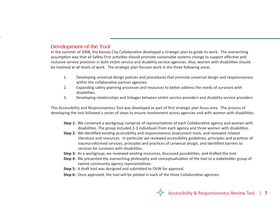### **Development of the Tool**

In the summer of 2008, the Kansas City Collaborative developed a strategic plan to guide its work. The overarching assumption was that all Safety First activities should promote sustainable systems change to support effective and inclusive service provision in both victim service and disability service agencies. Also, women with disabilities should be involved at all levels of work. The strategic plan focuses work in the three following areas.

- 1. Developing universal design policies and procedures that promote universal design and responsiveness within the collaborative partner agencies
- 2. Expanding safety planning processes and resources to better address the needs of survivors with disabilities.
- 3. Developing relationships and linkages between victim service providers and disability service providers.

This Accessibility and Responsiveness Tool was developed as part of first strategic plan focus area. The process of developing the tool followed a series of steps to ensure involvement across agencies and with women with disabilities.

- **Step 1:** We convened a workgroup comprise of representatives of each Collaborative agency and women with disabilities. The group included 2-3 individuals from each agency and three women with disabilities.
- **Step 2:** We identified existing accessibility and responsiveness assessment tools, and reviewed related literature and resources. In particular we reviewed accessibility guidelines, principles and practices of trauma-informed services, principles and practices of universal design, and identified barriers to services for survivors with disabilities.
- **Step 3:** As a workgroup, we reviewed existing resources, discussed possibilities, and drafted the tool.
- **Step 4:** We presented the overarching philosophy and conceptualization of the tool to a stakeholder group of twelve community agency representatives.
- **Step 5:** A draft tool was designed and submitted to OVW for approval.
- **Step 6:** Once approved, the tool will be piloted in each of the three Collaborative agencies.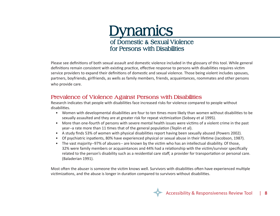

Please see definitions of both sexual assault and domestic violence included in the glossary of this tool. While general definitions remain consistent with existing practice, effective response to persons with disabilities requires victim service providers to expand their definitions of domestic and sexual violence. Those being violent includes spouses, partners, boyfriends, girlfriends, as wells as family members, friends, acquaintances, roommates and other persons who provide care.

### **Prevalence of Violence Against Persons with Disabilities**

Research indicates that people with disabilities face increased risks for violence compared to people without disabilities.

- Women with developmental disabilities are four to ten times more likely than women without disabilities to be sexually assaulted and they are at greater risk for repeat victimization (Sobsey et al 1995).
- More than one-fourth of persons with severe mental health issues were victims of a violent crime in the past year--a rate more than 11 times that of the general population (Teplin et al).
- A study finds 53% of women with physical disabilities report having been sexually abused (Powers 2002).
- Of psychiatric inpatients, 80% have experienced physical or sexual abuse in their lifetime (Jacobson, 1987).
- The vast majority--97% of abusers-- are known by the victim who has an intellectual disability. Of those, 32% were family members or acquaintances and 44% had a relationship with the victim/survivor specifically related to the person's disability such as a residential care staff, a provider for transportation or personal care. (Baladerian 1991).

Most often the abuser is someone the victim knows well. Survivors with disabilities often have experienced multiple victimizations, and the abuse is longer in duration compared to survivors without disabilities.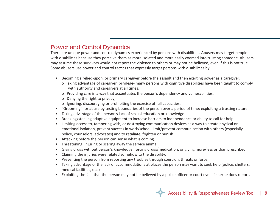### **Power and Control Dynamics**

There are unique power and control dynamics experienced by persons with disabilities. Abusers may target people with disabilities because they perceive them as more isolated and more easily coerced into trusting someone. Abusers may assume these survivors would not report the violence to others or may not be believed, even if this is not true. Some abusers use power and control tactics that expressly target persons with disabilities by:

- Becoming a relied-upon, or primary caregiver before the assault and then exerting power as a caregiver:
	- o Taking advantage of caregiver privilege- many persons with cognitive disabilities have been taught to comply with authority and caregivers at all times;
	- o Providing care in a way that accentuates the person's dependency and vulnerabilities;
	- o Denying the right to privacy;
	- o Ignoring, discouraging or prohibiting the exercise of full capacities.
- "Grooming" for abuse by testing boundaries of the person over a period of time; exploiting a trusting nature.
- Taking advantage of the person's lack of sexual education or knowledge.
- Breaking/stealing adaptive equipment to increase barriers to independence or ability to call for help.
- Limiting access to, tampering with, or destroying communication devices as a way to create physical or emotional isolation, prevent success in work/school; limit/prevent communication with others (especially police, counselors, advocates) and to retaliate, frighten or punish.
- Attacking before the person can sense what is coming.
- Threatening, injuring or scaring away the service animal.
- Giving drugs without person's knowledge, forcing drugs/medication, or giving more/less or than prescribed.
- Claiming the injuries were related somehow to the disability.
- Preventing the person from reporting any troubles through coercion, threats or force.
- Taking advantage of the lack of accommodations at places the person may want to seek help (police, shelters, medical facilities, etc.)
- Exploiting the fact that the person may not be believed by a police officer or court even if she/he does report.

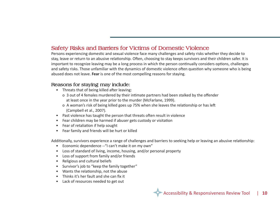### **Safety Risks and Barriers for Victims of Domestic Violence**

Persons experiencing domestic and sexual violence face many challenges and safety risks whether they decide to stay, leave or return to an abusive relationship. Often, choosing to stay keeps survivors and their children safer. It is important to recognize leaving may be a long process in which the person continually considers options, challenges and safety risks. Those unfamiliar with the dynamics of domestic violence often question why someone who is being abused does not leave. **Fear** is one of the most compelling reasons for staying.

### **Reasons for staying may include:**

- Threats that of being killed after leaving:
	- o 3 out of 4 females murdered by their intimate partners had been stalked by the offender at least once in the year prior to the murder (McFarlane, 1999).
	- o A woman's risk of being killed goes up 75% when she leaves the relationship or has left (Campbell et al., 2007).
- Past violence has taught the person that threats often result in violence
- Fear children may be harmed if abuser gets custody or visitation
- Fear of retaliation if help sought
- Fear family and friends will be hurt or killed

Additionally, survivors experience a range of challenges and barriers to seeking help or leaving an abusive relationship:

- Economic dependence --"I can't make it on my own"
- Loss of standard of living, income, housing, and/or personal property
- Loss of support from family and/or friends
- Religious and cultural beliefs
- Survivor's job to "keep the family together"
- Wants the relationship, not the abuse
- Thinks it's her fault and she can fix it
- Lack of resources needed to get out

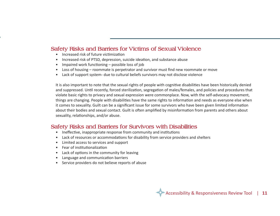### **Safety Risks and Barriers for Victims of Sexual Violence**

- Increased risk of future victimization
- Increased risk of PTSD, depression, suicide ideation, and substance abuse
- Impaired work functioning possible loss of job
- Loss of housing roommate is perpetrator and survivor must find new roommate or move
- Lack of support system- due to cultural beliefs survivors may not disclose violence

It is also important to note that the sexual rights of people with cognitive disabilities have been historically denied and suppressed. Until recently, forced sterilization, segregation of males/females, and policies and procedures that violate basic rights to privacy and sexual expression were commonplace. Now, with the self-advocacy movement, things are changing. People with disabilities have the same rights to information and needs as everyone else when it comes to sexuality. Guilt can be a significant issue for some survivors who have been given limited information about their bodies and sexual contact. Guilt is often amplified by misinformation from parents and others about sexuality, relationships, and/or abuse.

### **Safety Risks and Barriers for Survivors with Disabilities**

- Ineffective, inappropriate response from community and institutions
- Lack of resources or accommodations for disability from service providers and shelters
- Limited access to services and support
- Fear of institutionalization
- Lack of options in the community for leaving
- Language and communication barriers
- Service providers do not believe reports of abuse

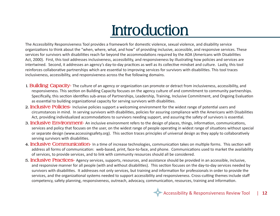## **Introduction**

The Accessibility Responsiveness Tool provides a framework for domestic violence, sexual violence, and disability service organizations to think about the "when, where, what, and how" of providing inclusive, accessible, and responsive services. These services for survivors with disabilities reach far beyond the accommodations required by the ADA (Americans with Disabilities Act, 2000). First, this tool addresses inclusiveness, accessibility, and responsiveness by illustrating how policies and services are intertwined. Second, it addresses an agency's day-to-day practices as well as its collective mindset and culture. Lastly, this tool reinforces collaborative partnerships which are essential to improving services for survivors with disabilities. This tool traces inclusiveness, accessibility, and responsiveness across the five following domains.

- **1. Building Capacity-** The culture of an agency or organization can promote or detract from inclusiveness, accessibility, and responsiveness. This section on Building Capacity focuses on the agency culture of and commitment to community partnerships. Specifically, this section identifies sub-areas of Partnerships, Leadership, Training, Inclusive Commitment, and Ongoing Evaluation as essential to building organizational capacity for serving survivors with disabilities.
- **2. Inclusive Policies-** Inclusive policies support a welcoming environment for the widest range of potential users and circumstances in mind. In serving survivors with disabilities, policies for assuring compliance with the Americans with Disabilities Act, providing individualized accommodations to survivors needing support, and assuring the safety of survivors is essential.
- **3. Inclusive Environment-** An inclusive environment refers to the design of places, things, information, communications, services and policy that focuses on the user, on the widest range of people operating in widest range of situations without special or separate design (www.accessingsafety.org). This section traces principles of universal design as they apply to collaboratively serving survivors with disabilities.
- **4. Inclusive Communication-** In a time of increase technologies, communication takes on multiple forms. This section will address all forms of communication: web-based, print, face-to-face, and phone. Communications used to market the availability of services, to provide services, and to link with community resources should all be considered.
- **5. Inclusive Practices-** Agency services, supports, resources, and assistance should be provided in an accessible, inclusive, and responsive manner for all people (with and without disabilities). This section focuses on the day-to-day services needed by survivors with disabilities. It addresses not only services, but training and information for professionals in order to provide the services, and the organizational systems needed to support accessibility and responsiveness. Cross-cutting themes include staff competency, safety planning, responsiveness, outreach, advocacy, communication, resources, training and information.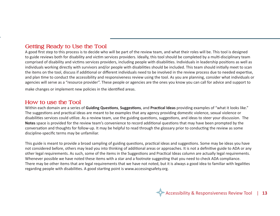### **Getting Ready to Use the Tool**

A good first step to this process is to decide who will be part of the review team, and what their roles will be. This tool is designed to guide reviews both for disability and victim services providers. Ideally, this tool should be completed by a multi-disciplinary team comprised of disability and victims services providers, including people with disabilities. Individuals in leadership positions as well as individuals working directly with survivors and/or people with disabilities should be included. This team should initially meet to scan the items on the tool, discuss if additional or different individuals need to be involved in the review process due to needed expertise, and plan time to conduct the accessibility and responsiveness review using the tool. As you are planning, consider what individuals or agencies will serve as a "resource provider". These people or agencies are the ones you know you can call for advice and support to make changes or implement new policies in the identified areas.

### **How to use the Tool**

Within each domain are a series of **Guiding Questions**, **Suggestions**, and **Practical Ideas** providing examples of "what it looks like." The suggestions and practical ideas are meant to be examples that any agency providing domestic violence, sexual violence or disabilities services could utilize. As a review team, use the guiding questions, suggestions, and ideas to steer your discussion. The **Notes** space is provided for the review team's convenience to record additional questions that may have been prompted by the conversation and thoughts for follow-up. It may be helpful to read through the glossary prior to conducting the review as some discipline-specific terms may be unfamiliar.

This guide is meant to provide a broad sampling of guiding questions, practical ideas and suggestions. Some may be ideas you have not considered before, others may lead you into thinking of additional areas or approaches. It is not a definitive guide to ADA or any other legal requirements. As such, some of the items in the Suggestions and Practical Ideas column are actually legal requirements. Whenever possible we have noted these items with a star and a footnote suggesting that you need to check ADA compliance. There may be other items that are legal requirements that we have not noted, but it is always a good idea to familiar with legalities regarding people with disabilities. A good starting point is www.accessingsafety.org.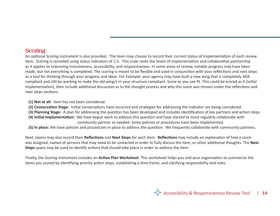### **Scoring**

An optional *Scoring Instrument* is also provided. The team may choose to record their current status of implementation of each review item. Scoring is recorded using status indicators of 1-5. This scale ranks the levels of implementation and collaborative partnership as it applies to improving inclusiveness, accessibility, and responsiveness. In some areas of review, notable progress may have been made, but not everything is completed. The scoring is meant to be flexible and used in conjunction with your reflections and next steps as a tool for thinking through your progress and ideas. For Example: your agency may have built a new wing that is completely ADA compliant and still be working to make the old wing/s in your structure compliant. Score as you see fit. This could be scored as 4 (initial implementation), then include additional discussion as to the thought process and why this score was chosen under the reflections and next steps sections.

**(1) Not at all:** Item has not been considered.

- **(2) Conversation Stage:** Initial conversations have occurred and strategies for addressing the indicator are being considered.
- **(3) Planning Stage:** A plan for addressing the question has been developed and includes identification of key partners and action steps.
- **(4) Initial Implementation:** We have begun work to address this question and have started to more regularly collaborate with community partner as needed. Some policies or procedures have been implemented.
- **(5) In place:** We have policies and procedures in place to address the question. We frequently collaborate with community partners.

Next, teams may also record their **Reflections** and **Next Steps** for each item. **Reflections** may include an explanation of how a score was assigned, names of persons that may need to be contacted in order to fully discuss the item, or other additional thoughts. The **Next Steps** space may be used to identify actions that should take place in order to address the item.

Finally, the *Scoring Instrument* includes an **Action Plan Worksheet**. This worksheet helps you and your organization to summarize the items you scored by identifying priority action steps, establishing a time frame, and clarifying responsibility and roles.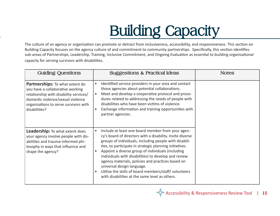## **Building Capacity**

The culture of an agency or organization can promote or detract from inclusiveness, accessibility, and responsiveness. This section or<br>Building Capacity focuses on the agency culture of and commitment to community partners The culture of an agency or organization can promote or detract from inclusiveness, accessibility, and responsiveness. This section on sub-areas of Partnerships, Leadership, Training, Inclusive Commitment, and Ongoing Evaluation as essential to building organizational capacity for serving survivors with disabilities.

| <b>Guiding Questions</b>                                                                                                                                                                                            | <b>Suggestions &amp; Practical Ideas</b>                                                                                                                                                                                                                                                                                                                                                                                                                                                                                                                                | <b>Notes</b> |
|---------------------------------------------------------------------------------------------------------------------------------------------------------------------------------------------------------------------|-------------------------------------------------------------------------------------------------------------------------------------------------------------------------------------------------------------------------------------------------------------------------------------------------------------------------------------------------------------------------------------------------------------------------------------------------------------------------------------------------------------------------------------------------------------------------|--------------|
| <b>Partnerships:</b> To what extent do<br>you have a collaborative working<br>relationship with disability services/<br>domestic violence/sexual violence<br>organizations to serve survivors with<br>disabilities? | Identified service providers in your area and contact<br>$\bullet$<br>those agencies about potential collaborations.<br>Meet and develop a cooperative protocol and proce-<br>dures related to addressing the needs of people with<br>disabilities who have been victims of violence.<br>Exchange information and training opportunities with<br>$\bullet$<br>partner agencies.                                                                                                                                                                                         |              |
| Leadership: To what extent does<br>your agency involve people with dis-<br>abilities and trauma-informed phi-<br>losophy in ways that influence and<br>shape the agency?                                            | Include at least one board member from your agen-<br>cy's board of directors with a disability. Invite diverse<br>groups of individuals, including people with disabili-<br>ties, to participate in strategic planning initiatives.<br>Appoint a diverse group of individuals (including<br>$\bullet$<br>individuals with disabilities) to develop and review<br>agency materials, policies and practices based on<br>universal design language.<br>Utilize the skills of board members/staff/volunteers<br>$\bullet$<br>with disabilities at the same level as others. |              |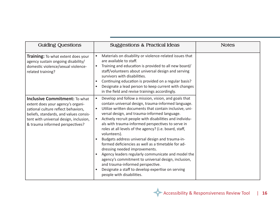| <b>Guiding Questions</b>                                                                                                                                                                                                                | <b>Suggestions &amp; Practical Ideas</b>                                                                                                                                                                                                                                                                                                                                                                                                                                                                                                                                                                                                                                                                                                                                                                                                         | <b>Notes</b> |
|-----------------------------------------------------------------------------------------------------------------------------------------------------------------------------------------------------------------------------------------|--------------------------------------------------------------------------------------------------------------------------------------------------------------------------------------------------------------------------------------------------------------------------------------------------------------------------------------------------------------------------------------------------------------------------------------------------------------------------------------------------------------------------------------------------------------------------------------------------------------------------------------------------------------------------------------------------------------------------------------------------------------------------------------------------------------------------------------------------|--------------|
| <b>Training:</b> To what extent does your<br>agency sustain ongoing disability/<br>domestic violence/sexual violence-<br>related training?                                                                                              | Materials on disability or violence-related issues that<br>$\bullet$<br>are available to staff.<br>Training and education is provided to all new board/<br>$\bullet$<br>staff/volunteers about universal design and serving<br>survivors with disabilities.<br>Continuing education is provided on a regular basis?<br>$\bullet$<br>Designate a lead person to keep current with changes<br>$\bullet$<br>in the field and revise trainings accordingly.                                                                                                                                                                                                                                                                                                                                                                                          |              |
| <b>Inclusive Commitment: To what</b><br>extent does your agency's organi-<br>zational culture reflect behaviors,<br>beliefs, standards, and values consis-<br>tent with universal design, inclusion,<br>& trauma informed perspectives? | Develop and follow a mission, vision, and goals that<br>$\bullet$<br>contain universal design, trauma-informed language.<br>Utilize written documents that contain inclusive, uni-<br>$\bullet$<br>versal design, and trauma-informed language.<br>Actively recruit people with disabilities and individu-<br>$\bullet$<br>als with trauma-informed perspectives to serve in<br>roles at all levels of the agency? (i.e. board, staff,<br>volunteers).<br>Budgets address universal design and trauma-in-<br>formed deficiencies as well as a timetable for ad-<br>dressing needed improvements.<br>Agency leaders regularly communicate and model the<br>agency's commitment to universal design, inclusion,<br>and trauma-informed perspective.<br>Designate a staff to develop expertise on serving<br>$\bullet$<br>people with disabilities. |              |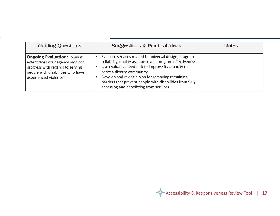| <b>Guiding Questions</b>                                                                                                                                                | <b>Suggestions &amp; Practical Ideas</b>                                                                                                                                                                                                                                                                                                                              | <b>Notes</b> |
|-------------------------------------------------------------------------------------------------------------------------------------------------------------------------|-----------------------------------------------------------------------------------------------------------------------------------------------------------------------------------------------------------------------------------------------------------------------------------------------------------------------------------------------------------------------|--------------|
| <b>Ongoing Evaluation: To what</b><br>extent does your agency monitor<br>progress with regards to serving<br>people with disabilities who have<br>experienced violence? | Evaluate services related to universal design, program<br>reliability, quality assurance and program effectiveness.<br>Use evaluative feedback to improve its capacity to<br>serve a diverse community.<br>Develop and revisit a plan for removing remaining<br>barriers that prevent people with disabilities from fully<br>accessing and benefitting from services. |              |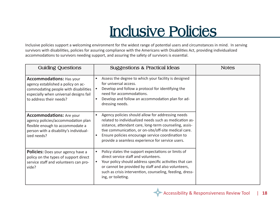## **Inclusive Policies**

Inclusive policies support a welcoming environment for the widest range of potential users and circumstances in mind. In serving survivors with disabilities, policies for assuring compliance with the Americans with Disabilities Act, providing individualized accommodations to survivors needing support, and assuring the safety of survivors is essential.

| <b>Guiding Questions</b>                                                                                                                                                           | <b>Suggestions &amp; Practical Ideas</b>                                                                                                                                                                                                                                                                                                             | <b>Notes</b> |
|------------------------------------------------------------------------------------------------------------------------------------------------------------------------------------|------------------------------------------------------------------------------------------------------------------------------------------------------------------------------------------------------------------------------------------------------------------------------------------------------------------------------------------------------|--------------|
| <b>Accommodations: Has your</b><br>agency established a policy on ac-<br>commodating people with disabilities<br>especially when universal designs fail<br>to address their needs? | Assess the degree to which your facility is designed<br>$\bullet$<br>for universal access.<br>Develop and follow a protocol for identifying the<br>need for accommodations.<br>Develop and follow an accommodation plan for ad-<br>dressing needs.                                                                                                   |              |
| <b>Accommodations:</b> Are your<br>agency policies/accommodation plan<br>flexible enough to accommodate a<br>person with a disability's individual-<br>ized needs?                 | Agency policies should allow for addressing needs<br>related to individualized needs such as medication as-<br>sistance, attendant care, long-term counseling, assis-<br>tive communication, or on-site/off-site medical care.<br>Ensure policies encourage service coordination to<br>$\bullet$<br>provide a seamless experience for service users. |              |
| <b>Policies:</b> Does your agency have a<br>policy on the types of support direct<br>service staff and volunteers can pro-<br>vide?                                                | Policy states the support expectations or limits of<br>$\bullet$<br>direct service staff and volunteers.<br>Your policy should address specific activities that can<br>or cannot be provided by staff and also volunteers,<br>such as crisis intervention, counseling, feeding, dress-<br>ing, or toileting.                                         |              |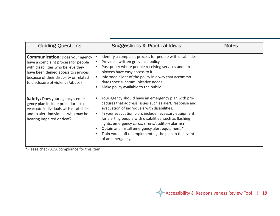| <b>Guiding Questions</b>                                                                                                                                                                                                                 | <b>Suggestions &amp; Practical Ideas</b>                                                                                                                                                                                                                                                                                                                                                                                                                                                                     | <b>Notes</b> |
|------------------------------------------------------------------------------------------------------------------------------------------------------------------------------------------------------------------------------------------|--------------------------------------------------------------------------------------------------------------------------------------------------------------------------------------------------------------------------------------------------------------------------------------------------------------------------------------------------------------------------------------------------------------------------------------------------------------------------------------------------------------|--------------|
| <b>Communication:</b> Does your agency<br>have a complaint process for people<br>with disabilities who believe they<br>have been denied access to services<br>because of their disability or related<br>to disclosure of violence/abuse? | Identify a complaint process for people with disabilities.<br>$\bullet$<br>Provide a written grievance policy.<br>$\bullet$<br>Post policy where people receiving services and em-<br>$\bullet$<br>ployees have easy access to it.<br>Informed client of the policy in a way that accommo-<br>$\bullet$<br>dates special communicative needs.<br>Make policy available to the public.<br>$\bullet$                                                                                                           |              |
| <b>Safety:</b> Does your agency's emer-<br>gency plan include procedures to<br>evacuate individuals with disabilities<br>and to alert individuals who may be<br>hearing impaired or deaf?                                                | Your agency should have an emergency plan with pro-<br>$\bullet$<br>cedures that address issues such as alert, response and<br>evacuation of individuals with disabilities.<br>In your evacuation plan, include necessary equipment<br>$\bullet$<br>for alerting people with disabilities, such as flashing<br>lights, emergency cards, sirens/auditory alarms?<br>Obtain and install emergency alert equipment.*<br>$\bullet$<br>Train your staff on implementing the plan in the event<br>of an emergency. |              |

\*Please check ADA compliance for this item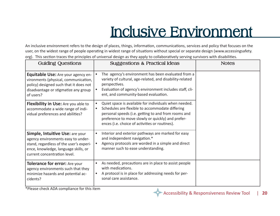## **Inclusive Environment**

An inclusive environment refers to the design of places, things, information, communications, services and policy that focuses on the user, on the widest range of people operating in widest range of situations without special or separate design (www.accessingsafety. org). This section traces the principles of universal design as they apply to collaboratively serving survivors with disabilities.

| <b>Guiding Questions</b>                                                                                                                                                                 | <b>Suggestions &amp; Practical Ideas</b>                                                                                                                                                                                                                                                         | <b>Notes</b> |
|------------------------------------------------------------------------------------------------------------------------------------------------------------------------------------------|--------------------------------------------------------------------------------------------------------------------------------------------------------------------------------------------------------------------------------------------------------------------------------------------------|--------------|
| Equitable Use: Are your agency en-<br>vironments (physical, communication,<br>policy) designed such that it does not<br>disadvantage or stigmatize any group<br>of users?                | The agency's environment has been evaluated from a<br>variety of cultural, age-related, and disability-related<br>perspectives.<br>Evaluation of agency's environment includes staff, cli-<br>ent, and community-based evaluation.                                                               |              |
| <b>Flexibility in Use:</b> Are you able to<br>accommodate a wide range of indi-<br>vidual preferences and abilities?                                                                     | Quiet space is available for individuals when needed.<br>$\bullet$<br>Schedules are flexible to accommodate differing<br>$\bullet$<br>personal speeds (i.e. getting to and from rooms and<br>preference to move slowly or quickly) and prefer-<br>ences (i.e. choice of activities or routines). |              |
| Simple, Intuitive Use: are your<br>agency environments easy to under-<br>stand, regardless of the user's experi-<br>ence, knowledge, language skills, or<br>current concentration level. | Interior and exterior pathways are marked for easy<br>and independent navigation.*<br>Agency protocols are worded in a simple and direct<br>manner such to ease understanding.                                                                                                                   |              |
| <b>Tolerance for error:</b> Are your<br>agency environments such that they<br>minimize hazards and potential ac-<br>cidents?                                                             | As needed, precautions are in place to assist people<br>with medications.<br>A protocol is in place for addressing needs for per-<br>sonal care assistance.                                                                                                                                      |              |

\*Please check ADA compliance for this item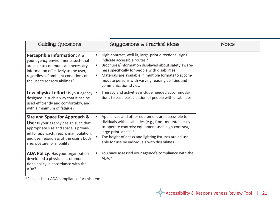| <b>Guiding Questions</b>                                                                                                                                                                                                         | <b>Suggestions &amp; Practical Ideas</b>                                                                                                                                                                                                                                                                                                                                       | <b>Notes</b> |
|----------------------------------------------------------------------------------------------------------------------------------------------------------------------------------------------------------------------------------|--------------------------------------------------------------------------------------------------------------------------------------------------------------------------------------------------------------------------------------------------------------------------------------------------------------------------------------------------------------------------------|--------------|
| Perceptible Information: Are<br>your agency environments such that<br>are able to communicate necessary<br>information effectively to the user,<br>regardless of ambient conditions or<br>the user's sensory abilities?          | High-contrast, well lit, large-print directional signs<br>$\bullet$<br>indicate accessible routes.*<br>Brochures/information displayed about safety aware-<br>$\bullet$<br>ness specifically for people with disabilities.<br>Materials are available in multiple formats to accom-<br>$\bullet$<br>modate persons with varying reading abilities and<br>communication styles. |              |
| Low physical effort: Is your agency<br>designed in such a way that it can be<br>used efficiently and comfortably, and<br>with a minimum of fatigue?                                                                              | Therapy and activities include needed accommoda-<br>$\bullet$<br>tions to ease participation of people with disabilities.                                                                                                                                                                                                                                                      |              |
| Size and Space for Approach &<br>Use: Is your agency design such that<br>appropriate size and space is provid-<br>ed for approach, reach, manipulation,<br>and use, regardless of the user's body<br>size, posture, or mobility? | Appliances and other equipment are accessible to in-<br>$\bullet$<br>dividuals with disabilities (e.g., front-mounted, easy-<br>to-operate controls; equipment uses high-contrast,<br>large print labels).*<br>The height of desks and lighting fixtures are adjust-<br>able for use by individuals with disabilities.                                                         |              |
| <b>ADA Policy:</b> Has your organization<br>developed a physical accommoda-<br>tions policy in accordance with the<br>ADA?                                                                                                       | You have assessed your agency's compliance with the<br>$\bullet$<br>ADA.*                                                                                                                                                                                                                                                                                                      |              |

\*Please check ADA compliance for this item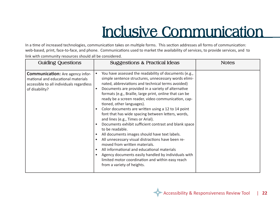## **Inclusive Communication**

In a time of increased technologies, communication takes on multiple forms. This section addresses all forms of communication: web-based, print, face-to-face, and phone. Communications used to market the availability of services, to provide services, and to link with community resources should all be considered.

| <b>Guiding Questions</b>                                                                                                                    | <b>Suggestions &amp; Practical Ideas</b>                                                                                                                                                                                                                                                                                                                                                                                                                                                                                                                                                                                                                                                                                                                                                                                                                                                                                                                                                                                       | <b>Notes</b> |
|---------------------------------------------------------------------------------------------------------------------------------------------|--------------------------------------------------------------------------------------------------------------------------------------------------------------------------------------------------------------------------------------------------------------------------------------------------------------------------------------------------------------------------------------------------------------------------------------------------------------------------------------------------------------------------------------------------------------------------------------------------------------------------------------------------------------------------------------------------------------------------------------------------------------------------------------------------------------------------------------------------------------------------------------------------------------------------------------------------------------------------------------------------------------------------------|--------------|
| <b>Communication:</b> Are agency infor-<br>mational and educational materials<br>accessible to all individuals regardless<br>of disability? | You have assessed the readability of documents (e.g.,<br>simple sentence structures, unnecessary words elimi-<br>nated, abbreviations and technical terms avoided)<br>Documents are provided in a variety of alternative<br>$\bullet$<br>formats (e.g., Braille, large print, online that can be<br>ready be a screen reader, video communication, cap-<br>tioned, other languages).<br>Color documents are written using a 12 to 14 point<br>$\bullet$<br>font that has wide spacing between letters, words,<br>and lines (e.g., Times or Arial).<br>Documents exhibit sufficient contrast and blank space<br>$\bullet$<br>to be readable.<br>All documents images should have text labels.<br>$\bullet$<br>All unnecessary visual distractions have been re-<br>$\bullet$<br>moved from written materials.<br>All informational and educational materials<br>$\bullet$<br>Agency documents easily handled by individuals with<br>$\bullet$<br>limited motor coordination and within easy reach<br>from a variety of heights. |              |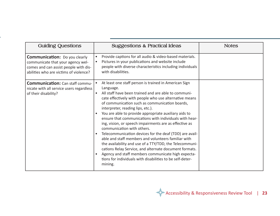| <b>Guiding Questions</b>                                                                                                                                     | <b>Suggestions &amp; Practical Ideas</b>                                                                                                                                                                                                                                                                                                                                                                                                                                                                                                                                                                                                                                                                                                                                                                                                                                                                                     | <b>Notes</b> |
|--------------------------------------------------------------------------------------------------------------------------------------------------------------|------------------------------------------------------------------------------------------------------------------------------------------------------------------------------------------------------------------------------------------------------------------------------------------------------------------------------------------------------------------------------------------------------------------------------------------------------------------------------------------------------------------------------------------------------------------------------------------------------------------------------------------------------------------------------------------------------------------------------------------------------------------------------------------------------------------------------------------------------------------------------------------------------------------------------|--------------|
| <b>Communication:</b> Do you clearly<br>communicate that your agency wel-<br>comes and can assist people with dis-<br>abilities who are victims of violence? | Provide captions for all audio & video-based materials.<br>$\bullet$<br>Pictures in your publications and website include<br>$\bullet$<br>people with diverse characteristics including individuals<br>with disabilities.                                                                                                                                                                                                                                                                                                                                                                                                                                                                                                                                                                                                                                                                                                    |              |
| <b>Communication: Can staff commu-</b><br>nicate with all service users regardless<br>of their disability?                                                   | At least one staff person is trained in American Sign<br>$\bullet$<br>Language.<br>All staff have been trained and are able to communi-<br>$\bullet$<br>cate effectively with people who use alternative means<br>of communication such as communication boards,<br>interpreter, reading lips, etc.).<br>You are able to provide appropriate auxiliary aids to<br>$\bullet$<br>ensure that communications with individuals with hear-<br>ing, vision, or speech impairments are as effective as<br>communication with others.<br>Telecommunication devices for the deaf (TDD) are avail-<br>$\bullet$<br>able and staff members and volunteers familiar with<br>the availability and use of a TTY/TDD, the Telecommuni-<br>cations Relay Service, and alternate document formats.<br>Agency and staff members communicate high expecta-<br>$\bullet$<br>tions for individuals with disabilities to be self-deter-<br>mining. |              |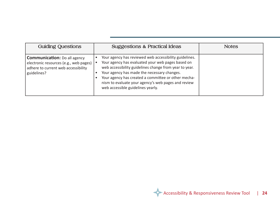| <b>Guiding Questions</b>                                                                                                            | <b>Suggestions &amp; Practical Ideas</b>                                                                                                                                                                                                                                                                                                                                | <b>Notes</b> |
|-------------------------------------------------------------------------------------------------------------------------------------|-------------------------------------------------------------------------------------------------------------------------------------------------------------------------------------------------------------------------------------------------------------------------------------------------------------------------------------------------------------------------|--------------|
| <b>Communication:</b> Do all agency<br>electronic resources (e.g., web pages)<br>adhere to current web accessibility<br>guidelines? | Your agency has reviewed web accessibility guidelines.<br>Your agency has evaluated your web pages based on<br>web accessibility guidelines change from year to year.<br>Your agency has made the necessary changes.<br>Your agency has created a committee or other mecha-<br>nism to evaluate your agency's web pages and review<br>web accessible guidelines yearly. |              |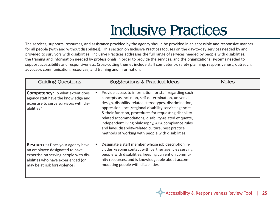## **Inclusive Practices**

as<br>liti The services, supports, resources, and assistance provided by the agency should be provided in an accessible and responsive manner for all people (with and without disabilities). This section on Inclusive Practices focuses on the day-to-day services needed by and provided to survivors with disabilities. Inclusive Practices addresses the full range of services needed by people with disabilities, the training and information needed by professionals in order to provide the services, and the organizational systems needed to support accessibility and responsiveness. Cross-cutting themes include staff competency, safety planning, responsiveness, outreach, advocacy, communication, resources, and training and information.

| <b>Guiding Questions</b>                                                                                                                                                                  | <b>Suggestions &amp; Practical Ideas</b>                                                                                                                                                                                                                                                                                                                                                                                                                                                                                   | <b>Notes</b> |
|-------------------------------------------------------------------------------------------------------------------------------------------------------------------------------------------|----------------------------------------------------------------------------------------------------------------------------------------------------------------------------------------------------------------------------------------------------------------------------------------------------------------------------------------------------------------------------------------------------------------------------------------------------------------------------------------------------------------------------|--------------|
| <b>Competency:</b> To what extent does<br>agency staff have the knowledge and<br>expertise to serve survivors with dis-<br>abilities?                                                     | Provide access to information for staff regarding such<br>concepts as inclusion, self-determination, universal<br>design, disability-related stereotypes, discrimination,<br>oppression, local/regional disability service agencies<br>& their function, procedures for requesting disability-<br>related accommodations, disability-related etiquette,<br>independent living philosophy, ADA compliance rules<br>and laws, disability-related culture, best practice<br>methods of working with people with disabilities. |              |
| <b>Resources:</b> Does your agency have<br>an employee designated to have<br>expertise on serving people with dis-<br>abilities who have experienced (or<br>may be at risk for) violence? | Designate a staff member whose job description in-<br>cludes keeping contact with partner agencies serving<br>people with disabilities, keeping current on commu-<br>nity resources, and is knowledgeable about accom-<br>modating people with disabilities.                                                                                                                                                                                                                                                               |              |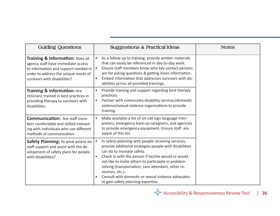| <b>Guiding Questions</b>                                                                                                                                                                          | <b>Suggestions &amp; Practical Ideas</b>                                                                                                                                                                                                                                                                                                                                                                                                  | <b>Notes</b> |
|---------------------------------------------------------------------------------------------------------------------------------------------------------------------------------------------------|-------------------------------------------------------------------------------------------------------------------------------------------------------------------------------------------------------------------------------------------------------------------------------------------------------------------------------------------------------------------------------------------------------------------------------------------|--------------|
| <b>Training &amp; Information: Does all</b><br>agency staff have immediate access<br>to information and support needed in<br>order to address the unique needs of<br>survivors with disabilities? | As a follow-up to training, provide written materials<br>$\bullet$<br>that can easily be referenced in day-to-day work.<br>Ensure staff members know who key contact persons<br>are for asking questions & getting more information.<br>Embed information that addresses survivors with dis-<br>$\bullet$<br>abilities across all provided trainings.                                                                                     |              |
| <b>Training &amp; Information: Are</b><br>clinicians trained in best practices in<br>providing therapy to survivors with<br>disabilities.                                                         | Provide training and support regarding best therapy<br>$\bullet$<br>practices.<br>Partner with community disability services/domestic<br>$\bullet$<br>violence/sexual violence organizations to provide<br>training.                                                                                                                                                                                                                      |              |
| <b>Communication: Are staff mem-</b><br>bers comfortable and skilled interact-<br>ing with individuals who use different<br>methods of communication.                                             | Make available a list of on-call sign language inter-<br>preters, emergency back-up caregivers, and agencies<br>to provide emergency equipment. Ensure staff are<br>aware of this list.                                                                                                                                                                                                                                                   |              |
| Safety Planning: To what extent do<br>staff support and assist with the de-<br>velopment of safety plans for people<br>with disabilities?                                                         | In safety-planning with people receiving services,<br>provide additional strategies people with disabilities<br>can do to increase safety.<br>Check in with the person if he/she would or would<br>$\bullet$<br>not like to invite others to participate in problem-<br>solving (transportation, care attendant, other re-<br>sources, etc.).<br>Consult with domestic or sexual violence advocates<br>to gain safety planning expertise. |              |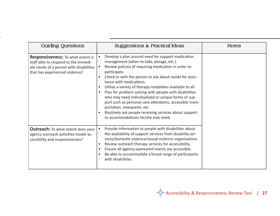| <b>Guiding Questions</b>                                                                                                                                      | <b>Suggestions &amp; Practical Ideas</b>                                                                                                                                                                                                                                                                                                                                                                                                                                                                                                                                                                                                                     | <b>Notes</b> |
|---------------------------------------------------------------------------------------------------------------------------------------------------------------|--------------------------------------------------------------------------------------------------------------------------------------------------------------------------------------------------------------------------------------------------------------------------------------------------------------------------------------------------------------------------------------------------------------------------------------------------------------------------------------------------------------------------------------------------------------------------------------------------------------------------------------------------------------|--------------|
| <b>Responsiveness:</b> To what extent is<br>staff able to respond to the immedi-<br>ate needs of a person with disabilities<br>that has experienced violence? | Develop a plan around need for support medication<br>$\bullet$<br>management (when to take, dosage, etc.).<br>Review policies of requiring medication in order to<br>$\bullet$<br>participate.<br>Check-in with the person to ask about needs for assis-<br>tance with medications.<br>Utilize a variety of therapy modalities available to all.<br>Plan for problem-solving with people with disabilities<br>who may need individualized or unique forms of sup-<br>port such as personal care attendants, accessible trans-<br>portation, interpreter, etc.<br>Routinely ask people receiving services about support<br>or accommodations he/she may need. |              |
| <b>Outreach:</b> To what extent does your<br>agency outreach activities model ac-<br>cessibility and responsiveness?                                          | Provide information to people with disabilities about<br>$\bullet$<br>the availability of support services from disability ser-<br>vices/domestic violence/sexual violence organizations.<br>Review outreach therapy services for accessibility.<br>Ensure all agency-sponsored events are accessible.<br>Be able to accommodate a broad range of participants<br>with disabilities.                                                                                                                                                                                                                                                                         |              |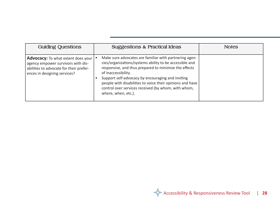| <b>Guiding Questions</b>                                                                                                                                   | <b>Suggestions &amp; Practical Ideas</b>                                                                                                                                                                                                                                                                                                                                                          | <b>Notes</b> |
|------------------------------------------------------------------------------------------------------------------------------------------------------------|---------------------------------------------------------------------------------------------------------------------------------------------------------------------------------------------------------------------------------------------------------------------------------------------------------------------------------------------------------------------------------------------------|--------------|
| <b>Advocacy:</b> To what extent does your<br>agency empower survivors with dis-<br>abilities to advocate for their prefer-<br>ences in designing services? | Make sure advocates are familiar with partnering agen-<br>cies/organizations/systems ability to be accessible and<br>responsive, and thus prepared to minimize the effects<br>of inaccessibility.<br>Support self-advocacy by encouraging and inviting<br>people with disabilities to voice their opinions and have<br>control over services received (by whom, with whom,<br>where, when, etc.). |              |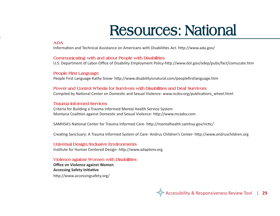## **Resources: National**

#### **ADA**

 Information and Technical Assistance on Americans with Disabilities Act- http://www.ada.gov/

### **Communicating with and about People with Disabilities**

U.S. Department of Labor-Office of Disability Employment Policy-http://www.dol.gov/odep/pubs/fact/comucate.htm

### **People First Language**

People First Language-Kathy Snow- http://www.disabilityisnatural.com/peoplefirstlanguage.htm

#### **Power and Control Wheels for Survivors with Disabilities and Deaf Survivors**

Compiled by National Center on Domestic and Sexual Violence- www.ncdsv.org/publications\_wheel.html

### **Trauma Informed Services**

Criteria for Building a Trauma Informed Mental Health Service System Montana Coalition against Domestic and Sexual Violence- http://www.mcadsv.com

SAMHSA's National Center for Trauma Informed Care- http://mentalhealth.samhsa.gov/nctic/

Creating Sanctuary: A Trauma Informed System of Care- Andrus Children's Center- http://www.andruschildren.org

#### **Universal Design/Inclusive Environments** Institute for Human Centered Design- http://www.adaptenv.org

### **Violence against Women with Disabilities**

**Office on Violence against Women Accessing Safety Initiative** http://www.accessingsafety.org/

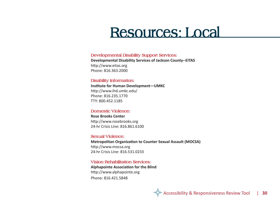### **Resources: Local**

#### **Developmental Disability Support Services:**

**Developmental Disability Services of Jackson County--EITAS** http://www.eitas.org Phone: 816.363.2000

#### **Disability Information:**

**Institute for Human Development—UMKC** http://www.ihd.umkc.edu/ Phone: 816.235.1770 TTY: 800.452.1185

#### **Domestic Violence:**

**Rose Brooks Center** http://www.rosebrooks.org 24-hr Crisis Line: 816.861.6100

#### **Sexual Violence:**

**Metropolitan Organization to Counter Sexual Assault (MOCSA)** http://www.mocsa.org 24-hr Crisis Line: 816.531.0233

**Vision Rehabilitation Services: Alphapointe Association for the Blind** http://www.alphapointe.org Phone: 816.421.5848

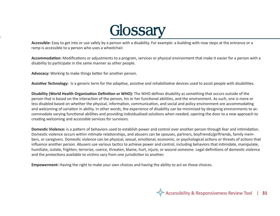

**Accessible:** Easy to get into or use safely by a person with a disability. For example: a building with now steps at the entrance or a ramp is accessible to a person who uses a wheelchair. ramp is accessible to a person who uses a wheelchair.

**Accommodation:** Modifications or adjustments to a program, services or physical environment that make it easier for a person with a disability to participate in the same manner as other people.

**Advocacy:** Working to make things better for another person.

Assistive Technology: Is a generic term for the adaptive, assistive and rehabilitative devices used to assist people with disabilities.

**Disability (World Health Organization Definition or WHO):** The WHO defines disability as something that occurs outside of the person that is based on the interaction of the person, his or her functional abilities, and the environment. As such, one is more or less disabled based on whether the physical, information, communication, and social and policy environment are accommodating and welcoming of variation in ability. In other words, the experience of disability can be minimized by designing environments to accommodate varying functional abilities and providing individualized solutions when needed, opening the door to a new approach to creating welcoming and accessible services for survivors.

**Domestic Violence:** is a pattern of behaviors used to establish power and control over another person through fear and intimidation. Domestic violence occurs within intimate relationships, and abusers can be spouses, partners, boyfriends/girlfriends, family members, or caregivers. Domestic violence can be physical, sexual, emotional, economic, or psychological actions or threats of actions that influence another person. Abusers use various tactics to achieve power and control, including behaviors that intimidate, manipulate, humiliate, isolate, frighten, terrorize, coerce, threaten, blame, hurt, injure, or wound someone. Legal definitions of domestic violence and the protections available to victims vary from one jurisdiction to another.

**Empowerment:** Having the right to make your own choices and having the ability to act on those choices.

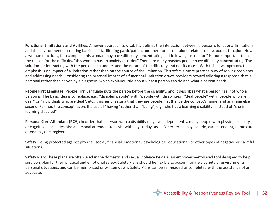**Functional Limitations and Abilities:** A newer approach to disability defines the interaction between a person's functional limitations and the environment as creating barriers or facilitating participation, and therefore is not alone related to how bodies function. How a woman functions, for example, "this woman may have difficulty concentrating and following instruction" is more important than the reason for the difficulty, "this woman has an anxiety disorder." There are many reasons people have difficulty concentrating. The solution for interacting with the person is to understand the nature of the difficulty and not its cause. With this new approach, the emphasis is on impact of a limitation rather than on the source of the limitation. This offers a more practical way of solving problems and addressing needs. Considering the practical impact of a functional limitation draws providers toward tailoring a response that is personal rather than driven by a diagnosis, which explains little about what a person can do and what a person needs.

**People First Language:** People First Language puts the person before the disability, and it describes what a person has, not who a person is. The basic idea is to replace, e.g., "disabled people" with "people with disabilities", "deaf people" with "people who are deaf" or "individuals who are deaf", etc., thus emphasizing that they are people first (hence the concept's name) and anything else second. Further, the concept favors the use of "having" rather than "being", e.g. "she has a learning disability" instead of "she is learning-disabled".

Personal Care Attendant (PCA): In order that a person with a disability may live independently, many people with physical, sensory, or cognitive disabilities hire a personal attendant to assist with day-to-day tasks. Other terms may include, care attendant, home care attendant, or caregiver.

**Safety:** Being protected against physical, social, financial, emotional, psychological, educational, or other types of negative or harmful situations.

**Safety Plan:** These plans are often used in the domestic and sexual violence fields as an empowerment-based tool designed to help survivors plan for their physical and emotional safety. Safety Plans should be flexible to accommodate a variety of environments, personal situations, and can be memorized or written down. Safety Plans can be self-guided or completed with the assistance of an advocate.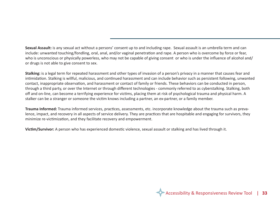**Sexual Assault:** is any sexual act without a persons' consent up to and including rape. Sexual assault is an umbrella term and can include: unwanted touching/fondling, oral, anal, and/or vaginal penetration and rape. A person who is overcome by force or fear, who is unconscious or physically powerless, who may not be capable of giving consent or who is under the influence of alcohol and/ or drugs is not able to give consent to sex.

**Stalking:** is a legal term for repeated harassment and other types of invasion of a person's privacy in a manner that causes fear and intimidation. Stalking is willful, malicious, and continued harassment and can include behavior such as persistent following, unwanted contact, inappropriate observation, and harassment or contact of family or friends. These behaviors can be conducted in person, through a third party, or over the Internet or through different technologies - commonly referred to as cyberstalking. Stalking, both off and on-line, can become a terrifying experience for victims, placing them at risk of psychological trauma and physical harm. A stalker can be a stranger or someone the victim knows including a partner, an ex-partner, or a family member.

**Trauma Informed:** Trauma informed services, practices, assessments, etc. incorporate knowledge about the trauma such as prevalence, impact, and recovery in all aspects of service delivery. They are practices that are hospitable and engaging for survivors, they minimize re-victimization, and they facilitate recovery and empowerment.

**Victim/Survivor:** A person who has experienced domestic violence, sexual assault or stalking and has lived through it.